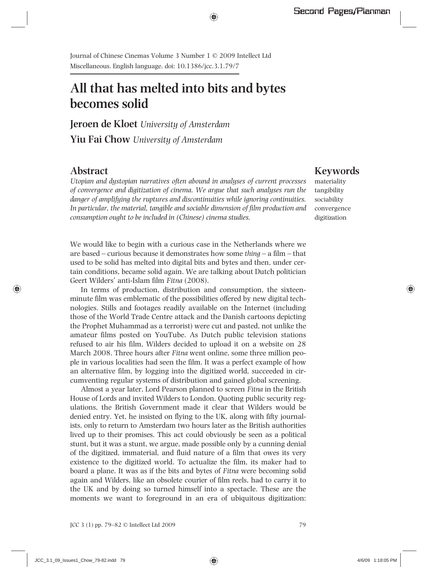# All that has melted into bits and bytes becomes solid

♠

**Jeroen de Kloet** University of Amsterdam **Yiu Fai Chow** University of Amsterdam

### **Abstract**

⊕

Utopian and dystopian narratives often abound in analyses of current processes of convergence and digitization of cinema. We argue that such analyses run the danger of amplifying the ruptures and discontinuities while ignoring continuities. In particular, the material, tangible and sociable dimension of film production and consumption ought to be included in (Chinese) cinema studies.

We would like to begin with a curious case in the Netherlands where we are based – curious because it demonstrates how some thing – a film – that used to be solid has melted into digital bits and bytes and then, under certain conditions, became solid again. We are talking about Dutch politician Geert Wilders' anti-Islam film Fitna (2008).

In terms of production, distribution and consumption, the sixteenminute film was emblematic of the possibilities offered by new digital technologies. Stills and footages readily available on the Internet (including those of the World Trade Centre attack and the Danish cartoons depicting the Prophet Muhammad as a terrorist) were cut and pasted, not unlike the amateur films posted on YouTube. As Dutch public television stations refused to air his film, Wilders decided to upload it on a website on 28 March 2008. Three hours after Fitna went online, some three million people in various localities had seen the film. It was a perfect example of how an alternative film, by logging into the digitized world, succeeded in circumventing regular systems of distribution and gained global screening.

Almost a year later, Lord Pearson planned to screen Fitna in the British House of Lords and invited Wilders to London. Quoting public security regulations, the British Government made it clear that Wilders would be denied entry. Yet, he insisted on flying to the UK, along with fifty journalists, only to return to Amsterdam two hours later as the British authorities lived up to their promises. This act could obviously be seen as a political stunt, but it was a stunt, we argue, made possible only by a cunning denial of the digitized, immaterial, and fluid nature of a film that owes its very existence to the digitized world. To actualize the film, its maker had to board a plane. It was as if the bits and bytes of Fitna were becoming solid again and Wilders, like an obsolete courier of film reels, had to carry it to the UK and by doing so turned himself into a spectacle. These are the moments we want to foreground in an era of ubiquitous digitization:

JCC 3 (1) pp. 79-82 © Intellect Ltd 2009

## Keywords

materiality tangibility sociability convergence digitization

79

◈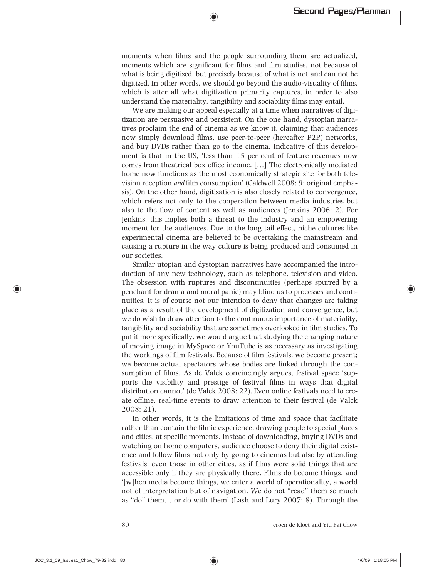moments when films and the people surrounding them are actualized. moments which are significant for films and film studies, not because of what is being digitized, but precisely because of what is not and can not be digitized. In other words, we should go beyond the audio-visuality of films, which is after all what digitization primarily captures, in order to also understand the materiality, tangibility and sociability films may entail.

♠

We are making our appeal especially at a time when narratives of digitization are persuasive and persistent. On the one hand, dystopian narratives proclaim the end of cinema as we know it, claiming that audiences now simply download films, use peer-to-peer (hereafter P2P) networks, and buy DVDs rather than go to the cinema. Indicative of this development is that in the US, 'less than 15 per cent of feature revenues now comes from theatrical box office income. [...] The electronically mediated home now functions as the most economically strategic site for both television reception and film consumption' (Caldwell 2008: 9; original emphasis). On the other hand, digitization is also closely related to convergence, which refers not only to the cooperation between media industries but also to the flow of content as well as audiences (Jenkins 2006: 2). For Jenkins, this implies both a threat to the industry and an empowering moment for the audiences. Due to the long tail effect, niche cultures like experimental cinema are believed to be overtaking the mainstream and causing a rupture in the way culture is being produced and consumed in our societies.

Similar utopian and dystopian narratives have accompanied the introduction of any new technology, such as telephone, television and video. The obsession with ruptures and discontinuities (perhaps spurred by a penchant for drama and moral panic) may blind us to processes and continuities. It is of course not our intention to deny that changes are taking place as a result of the development of digitization and convergence, but we do wish to draw attention to the continuous importance of materiality, tangibility and sociability that are sometimes overlooked in film studies. To put it more specifically, we would argue that studying the changing nature of moving image in MySpace or YouTube is as necessary as investigating the workings of film festivals. Because of film festivals, we become present: we become actual spectators whose bodies are linked through the consumption of films. As de Valck convincingly argues, festival space 'supports the visibility and prestige of festival films in ways that digital distribution cannot' (de Valck 2008: 22). Even online festivals need to create offline, real-time events to draw attention to their festival (de Valck  $2008:21$ .

In other words, it is the limitations of time and space that facilitate rather than contain the filmic experience, drawing people to special places and cities, at specific moments. Instead of downloading, buying DVDs and watching on home computers, audience choose to deny their digital existence and follow films not only by going to cinemas but also by attending festivals, even those in other cities, as if films were solid things that are accessible only if they are physically there. Films do become things, and '[w]hen media become things, we enter a world of operationality, a world not of interpretation but of navigation. We do not "read" them so much as "do" them... or do with them' (Lash and Lury 2007: 8). Through the

Jeroen de Kloet and Yiu Fai Chow

⊕

◈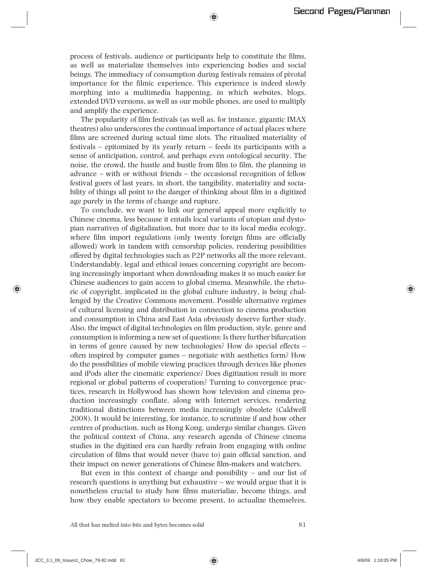process of festivals, audience or participants help to constitute the films, as well as materialize themselves into experiencing bodies and social beings. The immediacy of consumption during festivals remains of pivotal importance for the filmic experience. This experience is indeed slowly morphing into a multimedia happening, in which websites, blogs, extended DVD versions, as well as our mobile phones, are used to multiply and amplify the experience.

♠

The popularity of film festivals (as well as, for instance, gigantic IMAX theatres) also underscores the continual importance of actual places where films are screened during actual time slots. The ritualized materiality of festivals – epitomized by its yearly return – feeds its participants with a sense of anticipation, control, and perhaps even ontological security. The noise, the crowd, the hustle and bustle from film to film, the planning in advance – with or without friends – the occasional recognition of fellow festival goers of last years, in short, the tangibility, materiality and sociability of things all point to the danger of thinking about film in a digitized age purely in the terms of change and rupture.

To conclude, we want to link our general appeal more explicitly to Chinese cinema, less because it entails local variants of utopian and dystopian narratives of digitalization, but more due to its local media ecology, where film import regulations (only twenty foreign films are officially allowed) work in tandem with censorship policies, rendering possibilities offered by digital technologies such as P2P networks all the more relevant. Understandably, legal and ethical issues concerning copyright are becoming increasingly important when downloading makes it so much easier for Chinese audiences to gain access to global cinema. Meanwhile, the rhetoric of copyright, implicated in the global culture industry, is being challenged by the Creative Commons movement. Possible alternative regimes of cultural licensing and distribution in connection to cinema production and consumption in China and East Asia obviously deserve further study. Also, the impact of digital technologies on film production, style, genre and consumption is informing a new set of questions: Is there further bifurcation in terms of genre caused by new technologies? How do special effects – often inspired by computer games – negotiate with aesthetics form? How do the possibilities of mobile viewing practices through devices like phones and iPods alter the cinematic experience? Does digitization result in more regional or global patterns of cooperation? Turning to convergence practices, research in Hollywood has shown how television and cinema production increasingly conflate, along with Internet services, rendering traditional distinctions between media increasingly obsolete (Caldwell 2008). It would be interesting, for instance, to scrutinize if and how other centres of production, such as Hong Kong, undergo similar changes. Given the political context of China, any research agenda of Chinese cinema studies in the digitized era can hardly refrain from engaging with online circulation of films that would never (have to) gain official sanction, and their impact on newer generations of Chinese film-makers and watchers.

But even in this context of change and possibility  $-$  and our list of research questions is anything but exhaustive – we would argue that it is nonetheless crucial to study how films materialize, become things, and how they enable spectators to become present, to actualize themselves,

⊕

All that has melted into bits and bytes becomes solid

⊕

◈